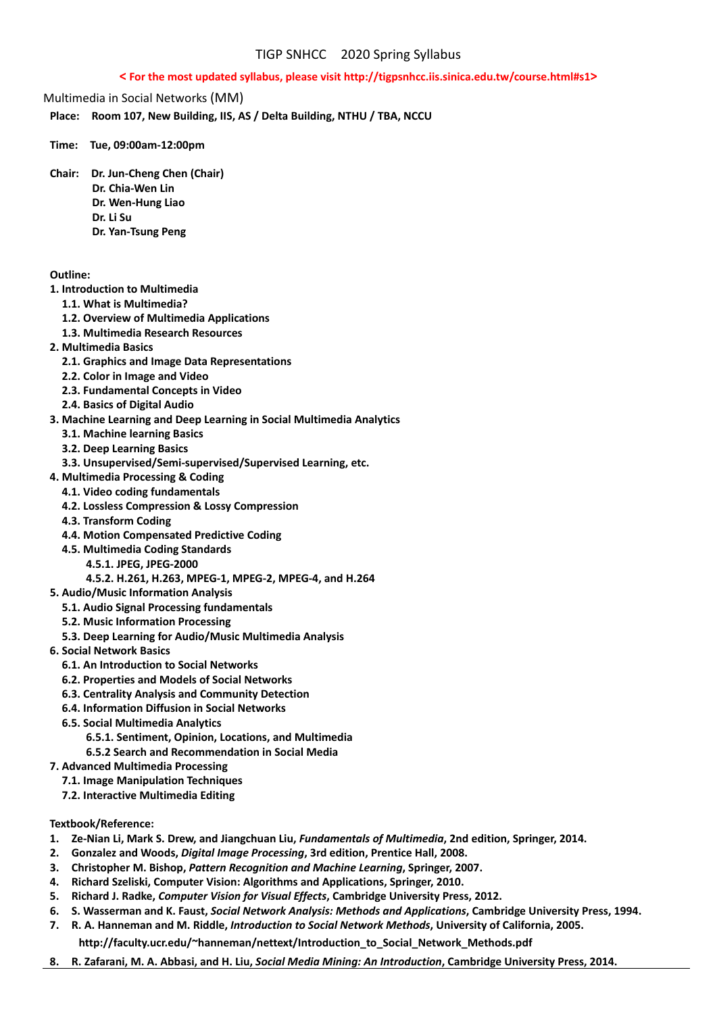## **< For the most updated syllabus, please visit http://tigpsnhcc.iis.sinica.edu.tw/course.html#s1>**

Multimedia in Social Networks (MM)

**Place: Room 107, New Building, IIS, AS / Delta Building, NTHU / TBA, NCCU** 

**Time: Tue, 09:00am‐12:00pm** 

**Chair: Dr. Jun‐Cheng Chen (Chair) Dr. Chia‐Wen Lin Dr. Wen‐Hung Liao Dr. Li Su**

 **Dr. Yan‐Tsung Peng** 

## **Outline:**

- **1. Introduction to Multimedia**
	- **1.1. What is Multimedia?**
	- **1.2. Overview of Multimedia Applications**
	- **1.3. Multimedia Research Resources**
- **2. Multimedia Basics**
	- **2.1. Graphics and Image Data Representations**
	- **2.2. Color in Image and Video**
	- **2.3. Fundamental Concepts in Video**
	- **2.4. Basics of Digital Audio**
- **3. Machine Learning and Deep Learning in Social Multimedia Analytics**
	- **3.1. Machine learning Basics**
	- **3.2. Deep Learning Basics**
	- **3.3. Unsupervised/Semi‐supervised/Supervised Learning, etc.**
- **4. Multimedia Processing & Coding**
	- **4.1. Video coding fundamentals**
	- **4.2. Lossless Compression & Lossy Compression**
	- **4.3. Transform Coding**
	- **4.4. Motion Compensated Predictive Coding**
	- **4.5. Multimedia Coding Standards**
		- **4.5.1. JPEG, JPEG‐2000** 
			- **4.5.2. H.261, H.263, MPEG‐1, MPEG‐2, MPEG‐4, and H.264**
- **5. Audio/Music Information Analysis**
	- **5.1. Audio Signal Processing fundamentals**
	- **5.2. Music Information Processing**
	- **5.3. Deep Learning for Audio/Music Multimedia Analysis**
- **6. Social Network Basics**
	- **6.1. An Introduction to Social Networks**
	- **6.2. Properties and Models of Social Networks**
	- **6.3. Centrality Analysis and Community Detection**
	- **6.4. Information Diffusion in Social Networks**
	- **6.5. Social Multimedia Analytics**
		- **6.5.1. Sentiment, Opinion, Locations, and Multimedia**
		- **6.5.2 Search and Recommendation in Social Media**
- **7. Advanced Multimedia Processing**
	- **7.1. Image Manipulation Techniques**
	- **7.2. Interactive Multimedia Editing**
- **Textbook/Reference:**
- 1. Ze-Nian Li, Mark S. Drew, and Jiangchuan Liu, Fundamentals of Multimedia, 2nd edition, Springer, 2014.
- **2. Gonzalez and Woods,** *Digital Image Processing***, 3rd edition, Prentice Hall, 2008.**
- **3. Christopher M. Bishop,** *Pattern Recognition and Machine Learning***, Springer, 2007.**
- **4. Richard Szeliski, Computer Vision: Algorithms and Applications, Springer, 2010.**
- **5. Richard J. Radke,** *Computer Vision for Visual Effects***, Cambridge University Press, 2012.**
- 6. S. Wasserman and K. Faust, Social Network Analysis: Methods and Applications, Cambridge University Press, 1994.
- 7. R. A. Hanneman and M. Riddle, Introduction to Social Network Methods, University of California, 2005. **http://faculty.ucr.edu/~hanneman/nettext/Introduction\_to\_Social\_Network\_Methods.pdf**
- 8. R. Zafarani, M. A. Abbasi, and H. Liu, Social Media Mining: An Introduction, Cambridge University Press, 2014.